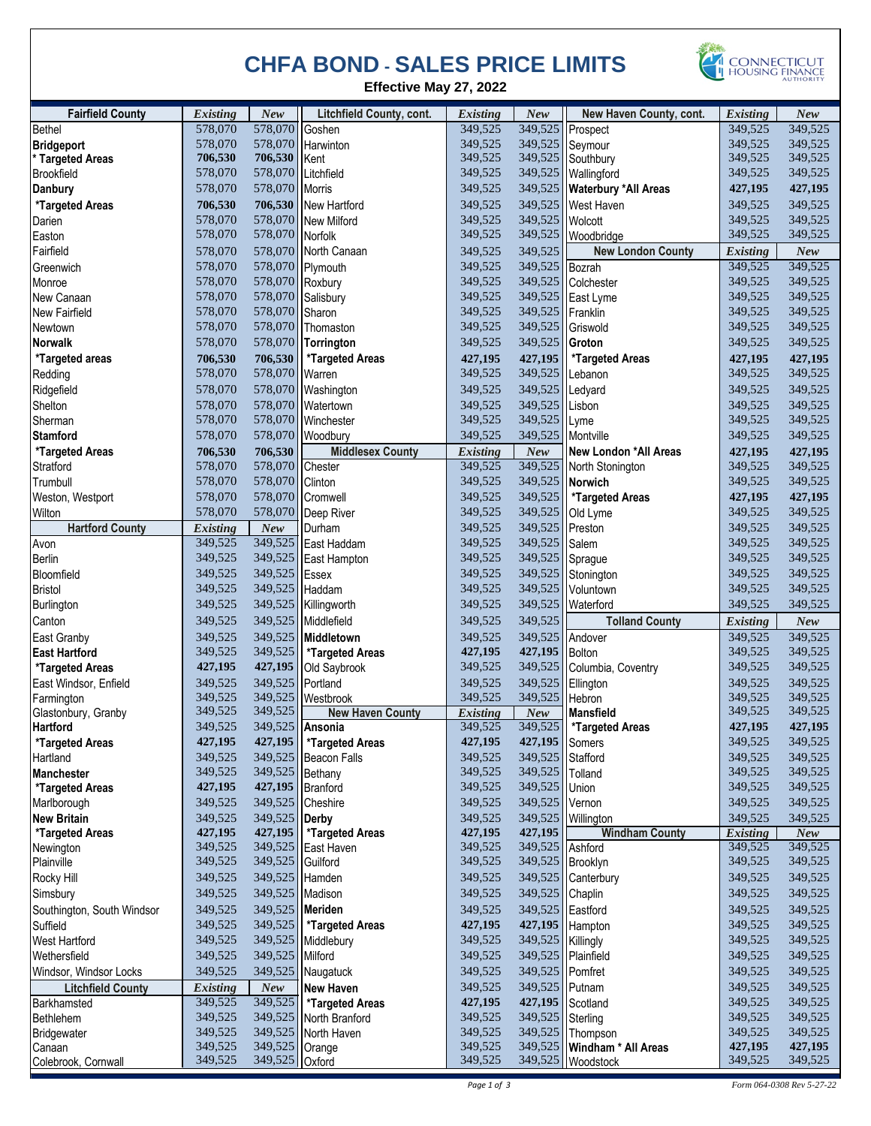## **CHFA BOND - SALES PRICE LIMITS**



**Effective May 27, 2022** 

| <b>Fairfield County</b>               | <b>Existing</b>    | New                      | <b>Litchfield County, cont.</b> | <b>Existing</b>    | <b>New</b>                          | New Haven County, cont.             | <b>Existing</b>            | <b>New</b>         |
|---------------------------------------|--------------------|--------------------------|---------------------------------|--------------------|-------------------------------------|-------------------------------------|----------------------------|--------------------|
| Bethel                                | 578,070            | 578,070                  | Goshen                          | 349,525            | 349,525                             | Prospect                            | 349,525                    | 349,525            |
| <b>Bridgeport</b>                     | 578,070            | 578,070                  | Harwinton                       | 349,525            |                                     | 349,525 Seymour                     | 349,525                    | 349,525            |
| * Targeted Areas                      | 706,530            | 706,530                  | Kent                            | 349,525            |                                     | 349,525 Southbury                   | 349,525                    | 349,525            |
| <b>Brookfield</b>                     | 578,070            | 578,070                  | Litchfield                      | 349,525            |                                     | 349,525   Wallingford               | 349,525                    | 349,525            |
| <b>Danbury</b>                        | 578,070            | 578,070 Morris           |                                 | 349,525            |                                     | 349,525   Waterbury * All Areas     | 427,195                    | 427,195            |
| *Targeted Areas                       | 706,530            |                          | 706,530 New Hartford            | 349,525            |                                     | 349,525   West Haven                | 349,525                    | 349,525            |
| Darien                                | 578,070            | 578,070                  | <b>New Milford</b>              | 349,525            | 349,525                             | Wolcott                             | 349,525                    | 349,525            |
| Easton                                | 578,070            | 578,070 Norfolk          |                                 | 349,525            | 349,525                             | Woodbridge                          | 349,525                    | 349,525            |
| Fairfield                             | 578,070            |                          | 578,070 North Canaan            | 349,525            | 349,525                             | <b>New London County</b>            | <b>Existing</b>            | New                |
| Greenwich                             | 578,070            |                          | 578,070 Plymouth                | 349.525            | 349,525                             | Bozrah                              | 349,525                    | 349,525            |
| Monroe                                | 578,070            | 578,070 Roxbury          |                                 | 349,525            | 349,525                             | Colchester                          | 349,525                    | 349,525            |
| New Canaan                            | 578,070            | 578,070                  | Salisbury                       | 349,525            | 349,525                             | East Lyme                           | 349,525                    | 349,525            |
| New Fairfield                         | 578,070            | 578,070 Sharon           |                                 | 349,525            | 349,525 Franklin                    |                                     | 349,525                    | 349,525            |
| Newtown                               | 578,070            |                          | 578,070 Thomaston               | 349,525            | 349,525 Griswold                    |                                     | 349,525                    | 349,525            |
| <b>Norwalk</b>                        | 578,070            |                          | 578,070 Torrington              | 349,525            | 349,525                             | Groton                              | 349,525                    | 349,525            |
| *Targeted areas                       | 706,530            | 706,530                  | *Targeted Areas                 | 427,195            | 427,195                             | *Targeted Areas                     | 427,195                    | 427,195            |
| Redding                               | 578,070            | 578,070 Warren           |                                 | 349,525            | 349,525 Lebanon                     |                                     | 349,525                    | 349,525            |
| Ridgefield                            | 578,070            |                          | 578,070 Washington              | 349,525            | 349,525                             | Ledyard                             | 349,525                    | 349,525            |
| Shelton                               | 578,070            |                          | 578,070 Watertown               | 349,525            | 349,525                             | Lisbon                              | 349,525                    | 349.525            |
| Sherman                               | 578,070            |                          | 578,070 Winchester              | 349,525            | 349,525                             | Lyme                                | 349,525                    | 349,525            |
| <b>Stamford</b>                       | 578,070            |                          | 578,070 Woodbury                | 349,525            | 349,525                             | Montville                           | 349,525                    | 349,525            |
| *Targeted Areas                       | 706,530            | 706,530                  | <b>Middlesex County</b>         | <b>Existing</b>    | New                                 | New London *All Areas               | 427,195                    | 427,195            |
| Stratford                             | 578,070            | 578,070                  | Chester                         | 349,525            | 349,525                             | North Stonington                    | 349,525                    | 349,525            |
| Trumbull                              | 578,070            | 578,070 Clinton          |                                 | 349,525            |                                     | 349,525 Norwich                     | 349,525                    | 349,525            |
|                                       | 578,070            | 578,070                  | Cromwell                        | 349,525            | 349,525                             | *Targeted Areas                     | 427,195                    | 427,195            |
| Weston, Westport<br>Wilton            | 578,070            | 578,070                  | Deep River                      | 349.525            | 349,525                             | Old Lyme                            | 349,525                    | 349,525            |
| <b>Hartford County</b>                | <b>Existing</b>    | New                      | Durham                          | 349,525            | 349,525                             | Preston                             | 349,525                    | 349,525            |
| Avon                                  | 349,525            | 349,525                  | East Haddam                     | 349,525            | 349,525                             |                                     | 349,525                    | 349,525            |
| <b>Berlin</b>                         | 349,525            | 349,525                  |                                 | 349,525            | 349,525 Sprague                     | Salem                               | 349,525                    | 349,525            |
| Bloomfield                            | 349,525            | 349,525                  | East Hampton                    | 349,525            |                                     | 349,525 Stonington                  | 349,525                    | 349,525            |
| <b>Bristol</b>                        | 349,525            | 349,525 Haddam           | Essex                           | 349,525            |                                     | 349,525 Voluntown                   | 349,525                    | 349,525            |
|                                       | 349,525            |                          |                                 | 349,525            |                                     |                                     | 349,525                    | 349,525            |
| Burlington                            |                    |                          | 349,525 Killingworth            |                    | 349,525                             | Waterford                           |                            |                    |
| Canton                                | 349,525            | 349,525                  | Middlefield                     | 349,525            | 349,525                             | <b>Tolland County</b>               | <b>Existing</b>            | New                |
| East Granby                           | 349,525            | 349,525                  | Middletown                      | 349,525            | 349,525                             | Andover                             | 349,525                    | 349,525            |
| <b>East Hartford</b>                  | 349,525            | 349,525                  | *Targeted Areas                 | 427,195            | 427,195 Bolton                      |                                     | 349,525                    | 349,525            |
| *Targeted Areas                       | 427,195            | 427,195                  | Old Saybrook                    | 349,525            |                                     | 349,525 Columbia, Coventry          | 349,525                    | 349,525            |
| East Windsor, Enfield                 | 349,525            | 349,525                  | Portland                        | 349,525            | 349,525                             | Ellington                           | 349,525                    | 349,525            |
| Farmington                            | 349,525            |                          | 349,525 Westbrook               | 349,525            | 349,525                             | Hebron                              | 349,525<br>349,525         | 349,525<br>349,525 |
| Glastonbury, Granby                   | 349,525            | 349,525                  | <b>New Haven County</b>         | <b>Existing</b>    | New                                 | <b>Mansfield</b>                    |                            |                    |
| <b>Hartford</b>                       | 349,525<br>427,195 | 349,525 Ansonia          |                                 | 349,525<br>427,195 | 427,195 Somers                      | 349,525   *Targeted Areas           | 427,195<br>349,525         | 427,195<br>349,525 |
| *Targeted Areas                       |                    |                          | 427,195   *Targeted Areas       |                    |                                     |                                     |                            |                    |
| Hartland                              | 349,525<br>349,525 | 349,525                  | <b>Beacon Falls</b>             | 349,525<br>349,525 | 349,525 Stafford<br>349,525 Tolland |                                     | 349,525<br>349,525         | 349,525<br>349,525 |
| <b>Manchester</b>                     |                    | 349,525 Bethany          |                                 |                    | 349,525 Union                       |                                     |                            |                    |
| *Targeted Areas                       | 427,195            | 427,195 Branford         |                                 | 349,525            |                                     |                                     | 349,525                    | 349,525            |
| Marlborough                           | 349,525            |                          | 349,525 Cheshire                | 349,525            | 349,525 Vernon                      |                                     | 349,525                    | 349,525            |
| <b>New Britain</b><br>*Targeted Areas | 349,525<br>427,195 | 349,525 Derby<br>427,195 | *Targeted Areas                 | 349,525<br>427,195 | 349,525<br>427,195                  | Willington<br><b>Windham County</b> | 349,525<br><b>Existing</b> | 349,525<br>New     |
| Newington                             | 349,525            |                          | 349,525 East Haven              | 349,525            | 349,525 Ashford                     |                                     | 349,525                    | 349,525            |
| Plainville                            | 349,525            | 349,525 Guilford         |                                 | 349,525            | 349,525 Brooklyn                    |                                     | 349,525                    | 349,525            |
| Rocky Hill                            | 349,525            | 349,525                  | Hamden                          | 349,525            |                                     | 349,525 Canterbury                  | 349,525                    | 349,525            |
|                                       |                    |                          |                                 |                    |                                     |                                     |                            |                    |
| Simsbury                              | 349,525            | 349,525 Madison          |                                 | 349,525            | 349,525 Chaplin                     |                                     | 349,525                    | 349,525            |
| Southington, South Windsor            | 349,525            | 349,525 Meriden          |                                 | 349,525            | 349,525 Eastford                    |                                     | 349,525                    | 349,525            |
| Suffield                              | 349,525            | 349,525                  | *Targeted Areas                 | 427,195            |                                     | 427,195 Hampton                     | 349,525                    | 349,525            |
| <b>West Hartford</b>                  | 349,525            |                          | 349,525 Middlebury              | 349,525            | 349,525   Killingly                 |                                     | 349,525                    | 349,525            |
| Wethersfield                          | 349,525            | 349,525 Milford          |                                 | 349,525            |                                     | 349,525 Plainfield                  | 349,525                    | 349,525            |
| Windsor, Windsor Locks                | 349,525            | 349,525                  | Naugatuck                       | 349,525            | 349,525 Pomfret                     |                                     | 349,525                    | 349,525            |
| <b>Litchfield County</b>              | <b>Existing</b>    | New                      | <b>New Haven</b>                | 349,525            | 349,525   Putnam                    |                                     | 349,525                    | 349,525            |
| Barkhamsted                           | 349,525            | 349,525                  | <i><b>*Targeted Areas</b></i>   | 427,195            | 427,195 Scotland                    |                                     | 349,525                    | 349,525            |
| Bethlehem                             | 349,525            |                          | 349,525 North Branford          | 349,525            | 349,525 Sterling                    |                                     | 349,525                    | 349,525            |
| Bridgewater                           | 349,525            |                          | 349,525 North Haven             | 349,525            |                                     | 349,525 Thompson                    | 349,525                    | 349,525            |
| Canaan                                | 349,525            | 349,525                  | Orange                          | 349,525            |                                     | 349,525   Windham * All Areas       | 427,195                    | 427,195            |
| Colebrook, Cornwall                   | 349,525            | 349,525 Oxford           |                                 | 349,525            |                                     | 349,525 Woodstock                   | 349,525                    | 349,525            |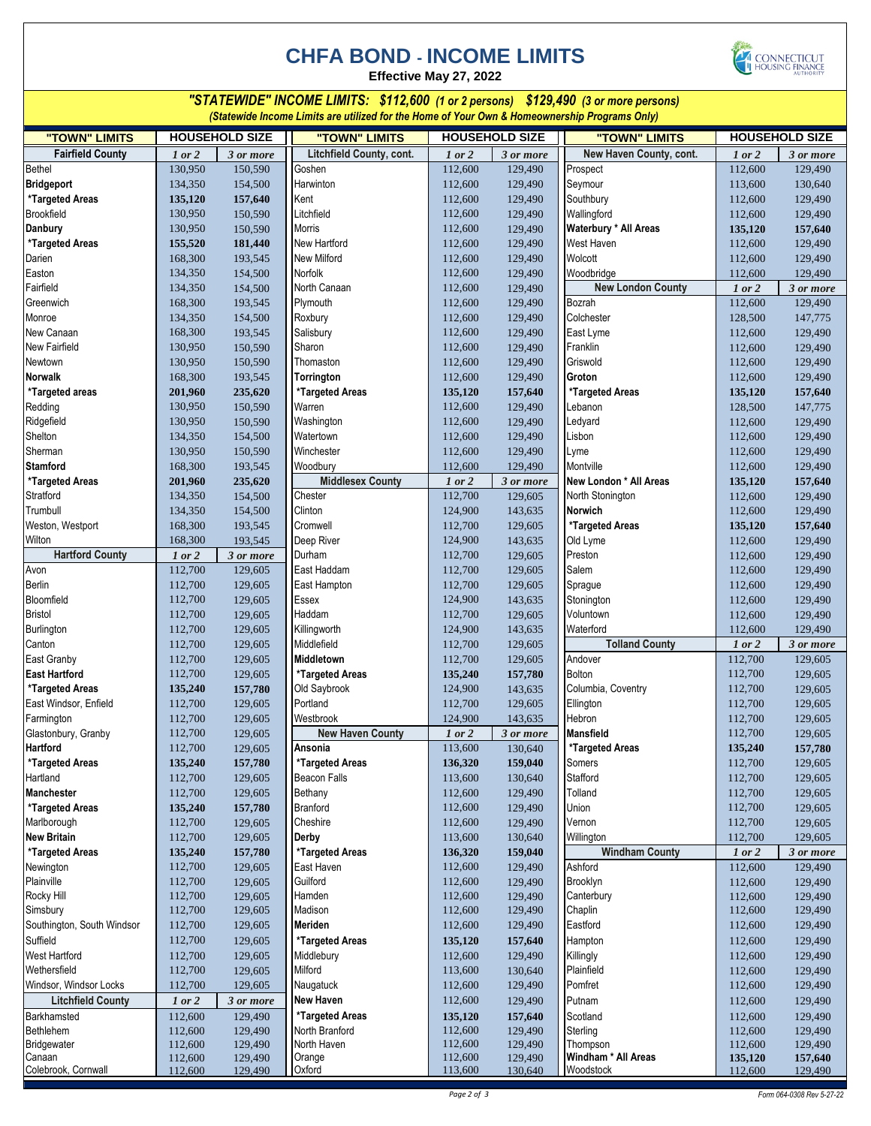## **CHFA BOND - INCOME LIMITS**





*"STATEWIDE" INCOME LIMITS: \$112,600 (1 or 2 persons) \$129,490 (3 or more persons) (Statewide Income Limits are utilized for the Home of Your Own & Homeownership Programs Only)*

| "TOWN" LIMITS                  |                    | <b>HOUSEHOLD SIZE</b> | "TOWN" LIMITS            |                    | <b>HOUSEHOLD SIZE</b> | "TOWN" LIMITS                   |                    | <b>HOUSEHOLD SIZE</b> |
|--------------------------------|--------------------|-----------------------|--------------------------|--------------------|-----------------------|---------------------------------|--------------------|-----------------------|
| <b>Fairfield County</b>        | 1 or 2             | 3 or more             | Litchfield County, cont. | 1 or 2             | 3 or more             | New Haven County, cont.         | 1 or 2             | 3 or more             |
| Bethel                         | 130,950            | 150,590               | Goshen                   | 112,600            | 129,490               | Prospect                        | 112,600            | 129,490               |
| <b>Bridgeport</b>              | 134,350            | 154,500               | Harwinton                | 112,600            | 129,490               | Seymour                         | 113,600            | 130,640               |
| *Targeted Areas                | 135,120            | 157,640               | Kent                     | 112,600            | 129,490               | Southbury                       | 112,600            | 129,490               |
| <b>Brookfield</b>              | 130,950            | 150,590               | Litchfield               | 112,600            | 129,490               | Wallingford                     | 112,600            | 129,490               |
| Danbury                        | 130,950            | 150,590               | <b>Morris</b>            | 112,600            | 129,490               | Waterbury * All Areas           | 135,120            | 157,640               |
| *Targeted Areas                | 155,520            | 181,440               | New Hartford             | 112,600            | 129,490               | West Haven                      | 112,600            | 129,490               |
| Darien                         | 168,300            | 193,545               | <b>New Milford</b>       | 112,600            | 129,490               | Wolcott                         | 112,600            | 129,490               |
| Easton                         | 134,350            | 154,500               | Norfolk                  | 112,600            | 129,490               | Woodbridge                      | 112,600            | 129,490               |
| Fairfield                      | 134,350            | 154,500               | North Canaan             | 112,600            | 129,490               | <b>New London County</b>        | 1 or 2             | 3 or more             |
| Greenwich                      | 168,300            | 193,545               | Plymouth                 | 112,600            | 129,490               | Bozrah                          | 112,600            | 129,490               |
| Monroe                         | 134,350            | 154,500               | Roxbury                  | 112,600            | 129,490               | Colchester                      | 128,500            | 147,775               |
| New Canaan                     | 168,300            | 193,545               | Salisbury                | 112,600            | 129,490               | East Lyme                       | 112,600            | 129,490               |
| New Fairfield                  | 130,950            | 150,590               | Sharon                   | 112,600            | 129,490               | Franklin                        | 112,600            | 129,490               |
| Newtown                        | 130,950            | 150,590               | Thomaston                | 112,600            | 129,490               | Griswold                        | 112,600            | 129,490               |
| Norwalk                        | 168,300            | 193,545               | Torrington               | 112,600            | 129,490               | Groton                          | 112,600            | 129,490               |
| *Targeted areas                | 201,960            | 235,620               | *Targeted Areas          | 135,120            | 157,640               | *Targeted Areas                 | 135,120            | 157,640               |
| Redding                        | 130,950            | 150,590               | Warren                   | 112,600            | 129,490               | Lebanon                         | 128,500            | 147,775               |
| Ridgefield                     | 130,950            | 150,590               | Washington               | 112,600            | 129,490               | Ledyard                         | 112,600            | 129,490               |
| Shelton                        | 134,350            | 154,500               | Watertown                | 112,600            | 129,490               | Lisbon                          | 112,600            | 129,490               |
| Sherman                        | 130,950            | 150,590               | Winchester               | 112,600            | 129,490               | Lyme                            | 112,600            | 129,490               |
| <b>Stamford</b>                | 168,300            | 193,545               | Woodbury                 | 112,600            | 129,490               | Montville                       | 112,600            | 129,490               |
| *Targeted Areas<br>Stratford   | 201,960            | 235,620               | <b>Middlesex County</b>  | 1 or 2             | 3 or more             | New London * All Areas          | 135,120            | 157,640               |
|                                | 134,350            | 154,500               | Chester                  | 112,700            | 129,605               | North Stonington                | 112,600            | 129,490               |
| Trumbull                       | 134,350            | 154,500               | Clinton                  | 124,900            | 143,635               | <b>Norwich</b>                  | 112,600            | 129,490               |
| Weston, Westport               | 168,300            | 193,545               | Cromwell                 | 112,700            | 129,605               | *Targeted Areas                 | 135,120            | 157,640               |
| Wilton                         | 168,300            | 193,545               | Deep River<br>Durham     | 124,900            | 143,635               | Old Lyme<br>Preston             | 112,600            | 129,490               |
| <b>Hartford County</b><br>Avon | 1 or 2<br>112,700  | 3 or more<br>129,605  | East Haddam              | 112,700<br>112,700 | 129,605<br>129,605    | Salem                           | 112,600            | 129,490<br>129,490    |
| Berlin                         | 112,700            | 129,605               | East Hampton             | 112,700            |                       | Sprague                         | 112,600            |                       |
| Bloomfield                     | 112,700            | 129,605               | Essex                    | 124,900            | 129,605<br>143,635    | Stonington                      | 112,600<br>112,600 | 129,490<br>129,490    |
| <b>Bristol</b>                 | 112,700            | 129,605               | Haddam                   | 112,700            | 129,605               | Voluntown                       | 112,600            | 129,490               |
| Burlington                     | 112,700            | 129,605               | Killingworth             | 124,900            | 143,635               | Waterford                       | 112,600            | 129,490               |
| Canton                         | 112,700            | 129,605               | Middlefield              | 112,700            | 129,605               | <b>Tolland County</b>           | 1 or 2             | 3 or more             |
| East Granby                    | 112,700            | 129,605               | Middletown               | 112,700            | 129,605               | Andover                         | 112,700            | 129,605               |
| <b>East Hartford</b>           | 112,700            | 129,605               | *Targeted Areas          | 135,240            | 157,780               | <b>Bolton</b>                   | 112,700            | 129,605               |
| *Targeted Areas                | 135,240            | 157,780               | Old Saybrook             | 124,900            | 143,635               | Columbia, Coventry              | 112,700            | 129,605               |
| East Windsor, Enfield          | 112,700            | 129,605               | Portland                 | 112,700            | 129,605               | Ellington                       | 112,700            | 129,605               |
| Farmington                     | 112,700            | 129,605               | Westbrook                | 124,900            | 143,635               | Hebron                          | 112,700            | 129,605               |
| Glastonbury, Granby            | 112,700            | 129,605               | <b>New Haven County</b>  | 1 or 2             | 3 or more             | <b>Mansfield</b>                | 112,700            | 129,605               |
| Hartford                       | 112,700            | 129,605               | Ansonia                  | 113,600            | 130,640               | *Targeted Areas                 | 135,240            | 157,780               |
| *Targeted Areas                | 135,240            | 157,780               | *Targeted Areas          | 136,320            | 159,040               | Somers                          | 112,700            | 129,605               |
| Hartland                       | 112,700            | 129,605               | <b>Beacon Falls</b>      | 113,600            | 130,640               | Stafford                        | 112,700            | 129,605               |
| Manchester                     | 112,700            | 129,605               | Bethany                  | 112,600            | 129,490               | Tolland                         | 112,700            | 129,605               |
| *Targeted Areas                | 135,240            | 157,780               | <b>Branford</b>          | 112,600            | 129,490               | Union                           | 112,700            | 129,605               |
| Marlborough                    | 112,700            | 129,605               | Cheshire                 | 112,600            | 129,490               | Vernon                          | 112,700            | 129,605               |
| <b>New Britain</b>             | 112,700            | 129,605               | Derby                    | 113,600            | 130,640               | Willington                      | 112,700            | 129,605               |
| *Targeted Areas                | 135,240            | 157,780               | *Targeted Areas          | 136,320            | 159,040               | <b>Windham County</b>           | 1 or 2             | 3 or more             |
| Newington                      | 112,700            | 129,605               | East Haven               | 112,600            | 129,490               | Ashford                         | 112,600            | 129,490               |
| Plainville                     | 112,700            | 129,605               | Guilford                 | 112,600            | 129,490               | Brooklyn                        | 112,600            | 129,490               |
| Rocky Hill                     | 112,700            | 129,605               | Hamden                   | 112,600            | 129,490               | Canterbury                      | 112,600            | 129,490               |
| Simsbury                       | 112,700            | 129,605               | Madison                  | 112,600            | 129,490               | Chaplin                         | 112,600            | 129,490               |
| Southington, South Windsor     | 112,700            | 129,605               | Meriden                  | 112,600            | 129,490               | Eastford                        | 112,600            | 129,490               |
| Suffield                       | 112,700            | 129,605               | *Targeted Areas          | 135,120            | 157,640               | Hampton                         | 112,600            | 129,490               |
| West Hartford                  | 112,700            | 129,605               | Middlebury               | 112,600            | 129,490               | Killingly                       | 112,600            | 129,490               |
| Wethersfield                   | 112,700            | 129,605               | Milford                  | 113,600            | 130,640               | Plainfield                      | 112,600            | 129,490               |
| Windsor, Windsor Locks         | 112,700            | 129,605               | Naugatuck                | 112,600            | 129,490               | Pomfret                         | 112,600            | 129,490               |
| <b>Litchfield County</b>       | 1 or 2             | 3 or more             | New Haven                | 112,600            | 129,490               | Putnam                          | 112,600            | 129,490               |
| Barkhamsted                    | 112,600            | 129,490               | *Targeted Areas          | 135,120            | 157,640               | Scotland                        | 112,600            | 129,490               |
| Bethlehem                      | 112,600            | 129,490               | North Branford           | 112,600            | 129,490               | Sterling                        | 112,600            | 129,490               |
| Bridgewater<br>Canaan          | 112,600            | 129,490               | North Haven<br>Orange    | 112,600<br>112,600 | 129,490<br>129,490    | Thompson<br>Windham * All Areas | 112,600            | 129,490               |
| Colebrook, Cornwall            | 112,600<br>112,600 | 129,490<br>129,490    | Oxford                   | 113,600            | 130,640               | Woodstock                       | 135,120<br>112,600 | 157,640<br>129,490    |
|                                |                    |                       |                          |                    |                       |                                 |                    |                       |